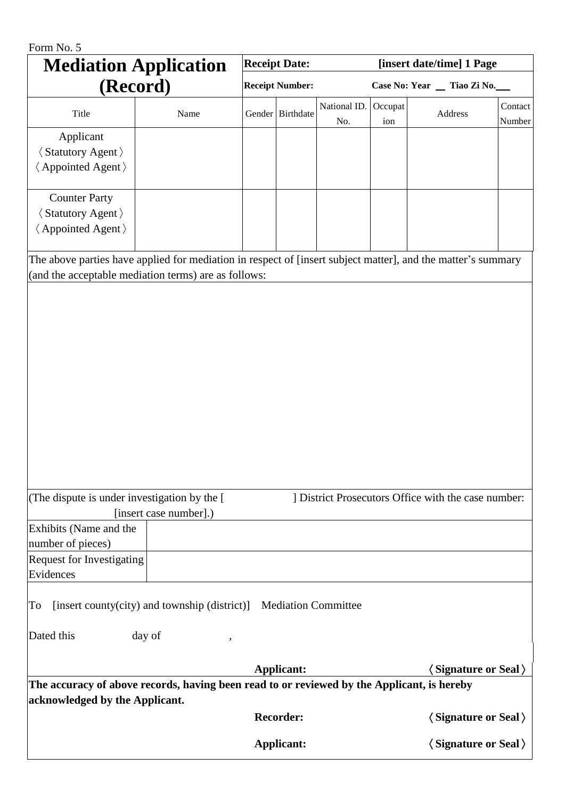| Form No. 5                                                                                                                                                           |                                                                   |                        |                                                   |                     |                             |                                       |                   |
|----------------------------------------------------------------------------------------------------------------------------------------------------------------------|-------------------------------------------------------------------|------------------------|---------------------------------------------------|---------------------|-----------------------------|---------------------------------------|-------------------|
| <b>Mediation Application</b><br>(Record)                                                                                                                             |                                                                   | <b>Receipt Date:</b>   |                                                   |                     | [insert date/time] 1 Page   |                                       |                   |
|                                                                                                                                                                      |                                                                   | <b>Receipt Number:</b> |                                                   |                     | Case No: Year _ Tiao Zi No. |                                       |                   |
| Title                                                                                                                                                                | Name                                                              |                        | Gender Birthdate                                  | National ID.<br>No. | Occupat<br>ion              | Address                               | Contact<br>Number |
| Applicant<br><b><i><u>(Statutory Agent)</u></i></b><br><b>∖</b> Appointed Agent >                                                                                    |                                                                   |                        |                                                   |                     |                             |                                       |                   |
| <b>Counter Party</b><br><b><i><u>Statutory Agent &gt;</u></i></b><br><b>Appointed Agent</b> >                                                                        |                                                                   |                        |                                                   |                     |                             |                                       |                   |
| The above parties have applied for mediation in respect of [insert subject matter], and the matter's summary<br>(and the acceptable mediation terms) are as follows: |                                                                   |                        |                                                   |                     |                             |                                       |                   |
| (The dispute is under investigation by the [<br>[insert case number].)                                                                                               |                                                                   |                        | District Prosecutors Office with the case number: |                     |                             |                                       |                   |
| Exhibits (Name and the<br>number of pieces)<br><b>Request for Investigating</b><br>Evidences                                                                         |                                                                   |                        |                                                   |                     |                             |                                       |                   |
| To                                                                                                                                                                   | [insert county(city) and township (district)] Mediation Committee |                        |                                                   |                     |                             |                                       |                   |
| Dated this                                                                                                                                                           | day of                                                            |                        |                                                   |                     |                             |                                       |                   |
|                                                                                                                                                                      |                                                                   |                        | <b>Applicant:</b>                                 |                     |                             | $\langle$ Signature or Seal $\rangle$ |                   |
| The accuracy of above records, having been read to or reviewed by the Applicant, is hereby<br>acknowledged by the Applicant.                                         |                                                                   |                        |                                                   |                     |                             |                                       |                   |
|                                                                                                                                                                      |                                                                   |                        | <b>Recorder:</b>                                  |                     |                             | $\langle$ Signature or Seal $\rangle$ |                   |
|                                                                                                                                                                      |                                                                   |                        | <b>Applicant:</b>                                 |                     |                             | $\langle$ Signature or Seal $\rangle$ |                   |